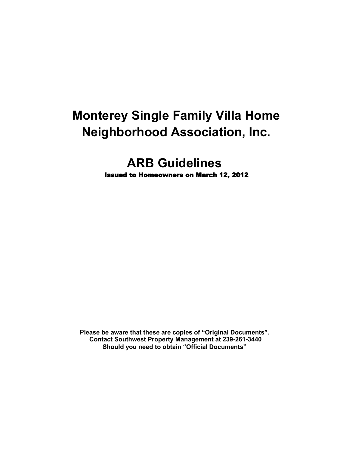# **Monterey Single Family Villa Home Neighborhood Association, Inc.**

# **ARB Guidelines** Issued to Homeowners on March 12, 2012

P**lease be aware that these are copies of "Original Documents". Contact Southwest Property Management at 239-261-3440 Should you need to obtain "Official Documents"**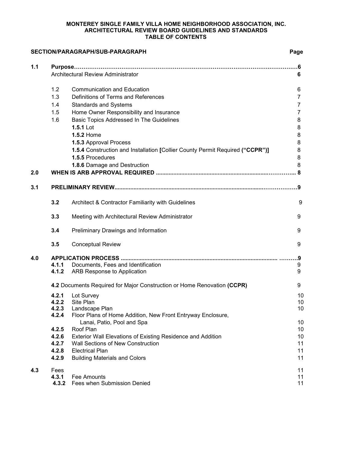#### **MONTEREY SINGLE FAMILY VILLA HOME NEIGHBORHOOD ASSOCIATION, INC. ARCHITECTURAL REVIEW BOARD GUIDELINES AND STANDARDS TABLE OF CONTENTS**

# **SECTION/PARAGRAPH/SUB-PARAGRAPH Page**

| 1.1 |                                    |                                                                                           |    |
|-----|------------------------------------|-------------------------------------------------------------------------------------------|----|
|     | Architectural Review Administrator | 6                                                                                         |    |
|     |                                    |                                                                                           |    |
|     | 1.2                                | <b>Communication and Education</b>                                                        | 6  |
|     | 1.3                                | Definitions of Terms and References                                                       | 7  |
|     | 1.4                                | <b>Standards and Systems</b>                                                              | 7  |
|     | 1.5                                | Home Owner Responsibility and Insurance                                                   |    |
|     | 1.6                                | Basic Topics Addressed In The Guidelines                                                  | 8  |
|     |                                    | 1.5.1 Lot                                                                                 | 8  |
|     |                                    | 1.5.2 Home                                                                                | 8  |
|     |                                    | 1.5.3 Approval Process                                                                    | 8  |
|     |                                    | 1.5.4 Construction and Installation [Collier County Permit Required ("CCPR")]             | 8  |
|     |                                    | 1.5.5 Procedures                                                                          | 8  |
|     |                                    | 1.8.6 Damage and Destruction                                                              | 8  |
| 2.0 |                                    |                                                                                           |    |
|     |                                    |                                                                                           |    |
| 3.1 |                                    |                                                                                           |    |
|     | 3.2                                | Architect & Contractor Familiarity with Guidelines                                        | 9  |
|     |                                    |                                                                                           |    |
|     | 3.3                                | Meeting with Architectural Review Administrator                                           | 9  |
|     | 3.4                                | Preliminary Drawings and Information                                                      | 9  |
|     | 3.5                                | <b>Conceptual Review</b>                                                                  | 9  |
| 4.0 |                                    |                                                                                           |    |
|     | 4.1.1                              | Documents, Fees and Identification                                                        | 9  |
|     | 4.1.2                              | ARB Response to Application                                                               | 9  |
|     |                                    | 4.2 Documents Required for Major Construction or Home Renovation (CCPR)                   | 9  |
|     | 4.2.1                              | Lot Survey                                                                                | 10 |
|     | 4.2.2                              | Site Plan                                                                                 | 10 |
|     | 4.2.3                              | Landscape Plan                                                                            | 10 |
|     | 4.2.4                              | Floor Plans of Home Addition, New Front Entryway Enclosure,<br>Lanai, Patio, Pool and Spa | 10 |
|     | 4.2.5                              | Roof Plan                                                                                 | 10 |
|     | 4.2.6                              | <b>Exterior Wall Elevations of Existing Residence and Addition</b>                        | 10 |
|     | 4.2.7                              | <b>Wall Sections of New Construction</b>                                                  | 11 |
|     | 4.2.8                              | <b>Electrical Plan</b>                                                                    | 11 |
|     | 4.2.9                              | <b>Building Materials and Colors</b>                                                      | 11 |
| 4.3 | Fees                               |                                                                                           | 11 |
|     | 4.3.1                              | Fee Amounts                                                                               | 11 |
|     |                                    | 4.3.2 Fees when Submission Denied                                                         | 11 |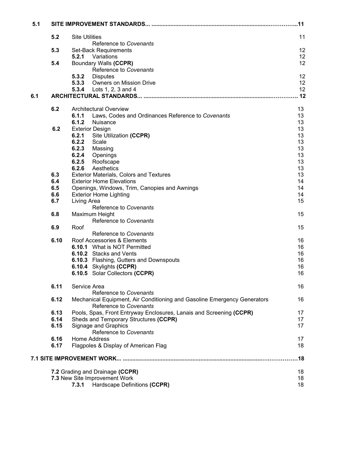| 5.1  |                                                                                                    |    |  |  |  |
|------|----------------------------------------------------------------------------------------------------|----|--|--|--|
| 5.2  | <b>Site Utilities</b>                                                                              | 11 |  |  |  |
|      | Reference to Covenants                                                                             |    |  |  |  |
| 5.3  | Set-Back Requirements                                                                              | 12 |  |  |  |
|      | <b>5.2.1</b> Variations                                                                            | 12 |  |  |  |
|      |                                                                                                    |    |  |  |  |
| 5.4  | Boundary Walls (CCPR)                                                                              | 12 |  |  |  |
|      | Reference to Covenants                                                                             |    |  |  |  |
|      | 5.3.2<br><b>Disputes</b>                                                                           | 12 |  |  |  |
|      | <b>Owners on Mission Drive</b><br>5.3.3                                                            | 12 |  |  |  |
|      | Lots 1, 2, 3 and 4<br>5.3.4                                                                        | 12 |  |  |  |
|      |                                                                                                    |    |  |  |  |
| 6.2  | <b>Architectural Overview</b>                                                                      | 13 |  |  |  |
|      | 6.1.1<br>Laws, Codes and Ordinances Reference to Covenants                                         | 13 |  |  |  |
|      |                                                                                                    |    |  |  |  |
|      | 6.1.2<br>Nuisance                                                                                  | 13 |  |  |  |
| 6.2  | <b>Exterior Design</b>                                                                             | 13 |  |  |  |
|      | 6.2.1<br>Site Utilization (CCPR)                                                                   | 13 |  |  |  |
|      | 6.2.2<br>Scale                                                                                     | 13 |  |  |  |
|      | 6.2.3<br>Massing                                                                                   | 13 |  |  |  |
|      | 6.2.4<br>Openings                                                                                  | 13 |  |  |  |
|      | 6.2.5<br>Roofscape                                                                                 | 13 |  |  |  |
|      | 6.2.6<br>Aesthetics                                                                                | 13 |  |  |  |
| 6.3  |                                                                                                    | 13 |  |  |  |
|      | <b>Exterior Materials, Colors and Textures</b>                                                     |    |  |  |  |
| 6.4  | <b>Exterior Home Elevations</b>                                                                    | 14 |  |  |  |
| 6.5  | Openings, Windows, Trim, Canopies and Awnings                                                      | 14 |  |  |  |
| 6.6  | <b>Exterior Home Lighting</b>                                                                      | 14 |  |  |  |
| 6.7  | Living Area                                                                                        | 15 |  |  |  |
|      | Reference to Covenants                                                                             |    |  |  |  |
| 6.8  | Maximum Height                                                                                     | 15 |  |  |  |
|      | Reference to Covenants                                                                             |    |  |  |  |
| 6.9  | Roof                                                                                               | 15 |  |  |  |
|      | Reference to Covenants                                                                             |    |  |  |  |
|      |                                                                                                    |    |  |  |  |
| 6.10 | Roof Accessories & Elements                                                                        | 16 |  |  |  |
|      | 6.10.1 What is NOT Permitted                                                                       | 16 |  |  |  |
|      | 6.10.2 Stacks and Vents                                                                            | 16 |  |  |  |
|      | 6.10.3 Flashing, Gutters and Downspouts                                                            | 16 |  |  |  |
|      | 6.10.4 Skylights (CCPR)                                                                            | 16 |  |  |  |
|      | 6.10.5 Solar Collectors (CCPR)                                                                     | 16 |  |  |  |
| 6.11 | Service Area                                                                                       | 16 |  |  |  |
|      | Reference to Covenants                                                                             |    |  |  |  |
| 6.12 | Mechanical Equipment, Air Conditioning and Gasoline Emergency Generators<br>Reference to Covenants | 16 |  |  |  |
|      |                                                                                                    |    |  |  |  |
| 6.13 | Pools, Spas, Front Entryway Enclosures, Lanais and Screening (CCPR)                                | 17 |  |  |  |
| 6.14 | Sheds and Temporary Structures (CCPR)                                                              | 17 |  |  |  |
| 6.15 | Signage and Graphics                                                                               | 17 |  |  |  |
|      | Reference to Covenants                                                                             |    |  |  |  |
| 6.16 | Home Address                                                                                       | 17 |  |  |  |
| 6.17 | Flagpoles & Display of American Flag                                                               | 18 |  |  |  |
|      |                                                                                                    |    |  |  |  |
|      | 7.2 Grading and Drainage (CCPR)                                                                    | 18 |  |  |  |
|      |                                                                                                    |    |  |  |  |
|      | 7.3 New Site Improvement Work                                                                      | 18 |  |  |  |
|      | Hardscape Definitions (CCPR)<br>7.3.1                                                              | 18 |  |  |  |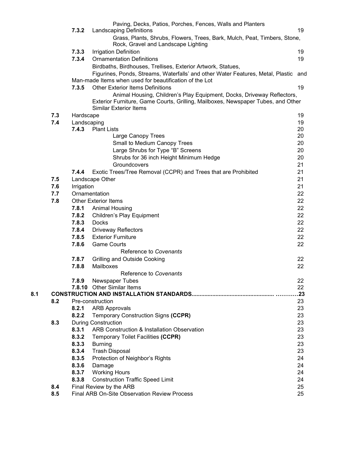|     |     |             | Paving, Decks, Patios, Porches, Fences, Walls and Planters                                                                                                 |          |  |
|-----|-----|-------------|------------------------------------------------------------------------------------------------------------------------------------------------------------|----------|--|
|     |     | 7.3.2       | <b>Landscaping Definitions</b>                                                                                                                             | 19       |  |
|     |     |             | Grass, Plants, Shrubs, Flowers, Trees, Bark, Mulch, Peat, Timbers, Stone,<br>Rock, Gravel and Landscape Lighting                                           |          |  |
|     |     | 7.3.3       | <b>Irrigation Definition</b>                                                                                                                               | 19       |  |
|     |     | 7.3.4       | <b>Ornamentation Definitions</b>                                                                                                                           | 19       |  |
|     |     |             |                                                                                                                                                            |          |  |
|     |     |             | Birdbaths, Birdhouses, Trellises, Exterior Artwork, Statues,                                                                                               |          |  |
|     |     |             | Figurines, Ponds, Streams, Waterfalls' and other Water Features, Metal, Plastic and<br>Man-made Items when used for beautification of the Lot              |          |  |
|     |     | 7.3.5       | <b>Other Exterior Items Definitions</b>                                                                                                                    | 19       |  |
|     |     |             | Animal Housing, Children's Play Equipment, Docks, Driveway Reflectors,<br>Exterior Furniture, Game Courts, Grilling, Mailboxes, Newspaper Tubes, and Other |          |  |
|     |     |             | <b>Similar Exterior Items</b>                                                                                                                              |          |  |
|     | 7.3 | Hardscape   |                                                                                                                                                            | 19       |  |
|     | 7.4 | Landscaping |                                                                                                                                                            | 19       |  |
|     |     | 7.4.3       | <b>Plant Lists</b>                                                                                                                                         | 20<br>20 |  |
|     |     |             | Large Canopy Trees                                                                                                                                         |          |  |
|     |     |             | Small to Medium Canopy Trees                                                                                                                               | 20       |  |
|     |     |             | Large Shrubs for Type "B" Screens                                                                                                                          | 20       |  |
|     |     |             | Shrubs for 36 inch Height Minimum Hedge                                                                                                                    | 20       |  |
|     |     |             | Groundcovers                                                                                                                                               | 21       |  |
|     |     | 7.4.4       | Exotic Trees/Tree Removal (CCPR) and Trees that are Prohibited                                                                                             | 21       |  |
|     | 7.5 |             | Landscape Other                                                                                                                                            | 21       |  |
|     | 7.6 | Irrigation  |                                                                                                                                                            | 21       |  |
|     | 7.7 |             | Ornamentation                                                                                                                                              | 22       |  |
|     | 7.8 |             | <b>Other Exterior Items</b>                                                                                                                                | 22       |  |
|     |     | 7.8.1       | <b>Animal Housing</b>                                                                                                                                      | 22       |  |
|     |     | 7.8.2       | <b>Children's Play Equipment</b>                                                                                                                           | 22       |  |
|     |     | 7.8.3       | Docks                                                                                                                                                      | 22       |  |
|     |     | 7.8.4       | <b>Driveway Reflectors</b>                                                                                                                                 | 22       |  |
|     |     | 7.8.5       | <b>Exterior Furniture</b>                                                                                                                                  | 22       |  |
|     |     | 7.8.6       | <b>Game Courts</b>                                                                                                                                         | 22       |  |
|     |     |             | Reference to Covenants                                                                                                                                     |          |  |
|     |     | 7.8.7       | <b>Grilling and Outside Cooking</b>                                                                                                                        | 22       |  |
|     |     | 7.8.8       | Mailboxes                                                                                                                                                  | 22       |  |
|     |     |             | Reference to Covenants                                                                                                                                     |          |  |
|     |     | 7.8.9       | Newspaper Tubes                                                                                                                                            | 22       |  |
|     |     |             | 7.8.10 Other Similar Items                                                                                                                                 | 22       |  |
| 8.1 |     |             |                                                                                                                                                            | .23      |  |
|     | 8.2 |             | Pre-construction                                                                                                                                           | 23       |  |
|     |     | 8.2.1       | <b>ARB Approvals</b>                                                                                                                                       | 23       |  |
|     |     | 8.2.2       | Temporary Construction Signs (CCPR)                                                                                                                        | 23       |  |
|     | 8.3 |             | <b>During Construction</b>                                                                                                                                 | 23       |  |
|     |     | 8.3.1       | ARB Construction & Installation Observation                                                                                                                | 23       |  |
|     |     | 8.3.2       | Temporary Toilet Facilities (CCPR)                                                                                                                         | 23       |  |
|     |     | 8.3.3       | <b>Burning</b>                                                                                                                                             | 23       |  |
|     |     | 8.3.4       | <b>Trash Disposal</b>                                                                                                                                      | 23       |  |
|     |     | 8.3.5       | Protection of Neighbor's Rights                                                                                                                            | 24       |  |
|     |     | 8.3.6       | Damage                                                                                                                                                     | 24       |  |
|     |     | 8.3.7       | <b>Working Hours</b>                                                                                                                                       | 24       |  |
|     |     | 8.3.8       | <b>Construction Traffic Speed Limit</b>                                                                                                                    | 24       |  |
|     | 8.4 |             | Final Review by the ARB                                                                                                                                    | 25       |  |
|     | 8.5 |             | Final ARB On-Site Observation Review Process                                                                                                               | 25       |  |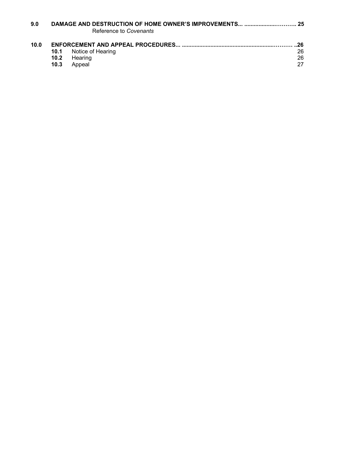| 9.0  |                   | Reference to Covenants |     |
|------|-------------------|------------------------|-----|
| 10.0 |                   |                        | .26 |
|      | 10.1              | Notice of Hearing      | 26  |
|      | 10.2 <sub>1</sub> | Hearing                | 26  |
|      | 10.3              | Appeal                 | 27  |
|      |                   |                        |     |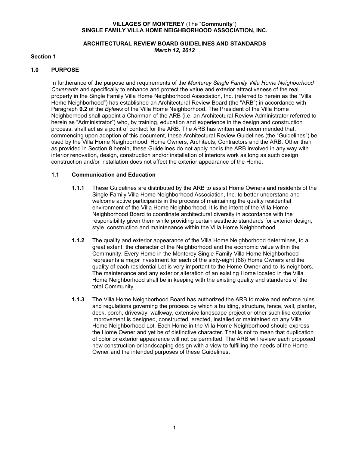#### **VILLAGES OF MONTEREY** (The "**Community**") **SINGLE FAMILY VILLA HOME NEIGHBORHOOD ASSOCIATION, INC.**

# **ARCHITECTURAL REVIEW BOARD GUIDELINES AND STANDARDS** *March 12, 2012*

# **Section 1**

# **1.0 PURPOSE**

In furtherance of the purpose and requirements of the *Monterey Single Family Villa Home Neighborhood* Covenants and specifically to enhance and protect the value and exterior attractiveness of the real property in the Single Family Villa Home Neighborhood Association, Inc. (referred to herein as the "Villa Home Neighborhood") has established an Architectural Review Board (the "ARB") in accordance with Paragraph **9.2** of the *Bylaws* of the Villa Home Neighborhood. The President of the Villa Home Neighborhood shall appoint a Chairman of the ARB (i.e. an Architectural Review Administrator referred to herein as "Administrator") who, by training, education and experience in the design and construction process, shall act as a point of contact for the ARB. The ARB has written and recommended that, commencing upon adoption of this document, these Architectural Review Guidelines (the "Guidelines") be used by the Villa Home Neighborhood, Home Owners, Architects, Contractors and the ARB. Other than as provided in Section **8** herein, these Guidelines do not apply nor is the ARB involved in any way with interior renovation, design, construction and/or installation of interiors work as long as such design, construction and/or installation does not affect the exterior appearance of the Home.

# **1.1 Communication and Education**

- **1.1.1** These Guidelines are distributed by the ARB to assist Home Owners and residents of the Single Family Villa Home Neighborhood Association, Inc. to better understand and welcome active participants in the process of maintaining the quality residential environment of the Villa Home Neighborhood. It is the intent of the Villa Home Neighborhood Board to coordinate architectural diversity in accordance with the responsibility given them while providing certain aesthetic standards for exterior design, style, construction and maintenance within the Villa Home Neighborhood.
- **1.1.2** The quality and exterior appearance of the Villa Home Neighborhood determines, to a great extent, the character of the Neighborhood and the economic value within the Community. Every Home in the Monterey Single Family Villa Home Neighborhood represents a major investment for each of the sixty-eight (68) Home Owners and the quality of each residential Lot is very important to the Home Owner and to its neighbors. The maintenance and any exterior alteration of an existing Home located in the Villa Home Neighborhood shall be in keeping with the existing quality and standards of the total Community.
- **1.1.3** The Villa Home Neighborhood Board has authorized the ARB to make and enforce rules and regulations governing the process by which a building, structure, fence, wall, planter, deck, porch, driveway, walkway, extensive landscape project or other such like exterior improvement is designed, constructed, erected, installed or maintained on any Villa Home Neighborhood Lot. Each Home in the Villa Home Neighborhood should express the Home Owner and yet be of distinctive character. That is not to mean that duplication of color or exterior appearance will not be permitted. The ARB will review each proposed new construction or landscaping design with a view to fulfilling the needs of the Home Owner and the intended purposes of these Guidelines.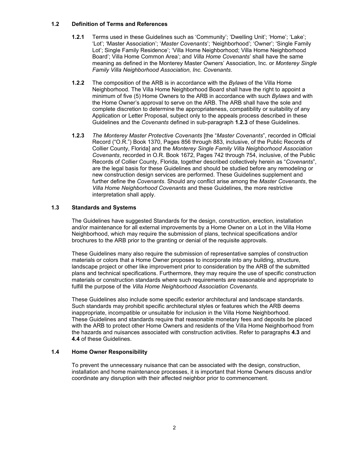# **1.2 Definition of Terms and References**

- **1.2.1** Terms used in these Guidelines such as 'Community'; 'Dwelling Unit'; 'Home'; 'Lake'; 'Lot'; 'Master Association'; '*Master Covenants*'; 'Neighborhood'; 'Owner'; 'Single Family Lot'; Single Family Residence'; 'Villa Home Neighborhood; Villa Home Neighborhood Board'; Villa Home Common Area'; and *Villa Home Covenants*' shall have the same meaning as defined in the Monterey Master Owners' Association, Inc. or *Monterey Single Family Villa Neighborhood Association, Inc. Covenants*.
- **1.2.2** The composition of the ARB is inaccordance with the *Bylaws* of the Villa Home Neighborhood. The Villa Home Neighborhood Board shall have the right to appoint a minimum of five (5) Home Owners to the ARB in accordance with such *Bylaws* and with the Home Owner's approval to serve on the ARB. The ARB shall have the sole and complete discretion to determine the appropriateness, compatibility or suitability of any Application or Letter Proposal, subject only to the appeals process described in these Guidelines and the *Covenants* defined in sub-paragraph **1.2.3** of these Guidelines.
- **1.2.3** *The Monterey Master Protective Covenants* [the "*Master Covenants*", recorded in Official Record ("O.R.") Book 1370, Pages 856 through 883, inclusive, of the Public Records of Collier County, Florida] and the *Monterey Single Family Villa Neighborhood Association Covenants*, recorded in O.R. Book 1672, Pages 742 through 754, inclusive, of the Public Records of Collier County, Florida, together described collectively herein as "*Covenants*", are the legal basis for these Guidelines and should be studied before any remodeling or new construction design services are performed. These Guidelines supplement and further define the *Covenants*.Should any conflictarise among the *Master Covenants*, the *Villa* Home Neighborhood Covenants and these Guidelines, the more restrictive interpretation shall apply.

# **1.3 Standards and Systems**

The Guidelines have suggested Standards for the design, construction, erection, installation and/or maintenance for all external improvements by a Home Owner on a Lot in the Villa Home Neighborhood, which may require the submission of plans, technical specifications and/or brochures to the ARB prior to the granting or denial of the requisite approvals.

These Guidelines many also require the submission of representative samples of construction materials or colors that a Home Owner proposes to incorporate into any building, structure, landscape project or other like improvement prior to consideration by the ARB of the submitted plans and technical specifications. Furthermore, they may require the use of specific construction materials or construction standards where such requirements are reasonable and appropriate to fulfill the purpose of the *Villa Home Neighborhood Association Covenants.*

These Guidelines also include some specific exterior architectural and landscape standards. Such standards may prohibit specific architectural styles or features which the ARB deems inappropriate, incompatible or unsuitable for inclusion in the Villa Home Neighborhood. These Guidelines and standards require that reasonable monetary fees and deposits be placed with the ARB to protect other Home Owners and residents of the Villa Home Neighborhood from the hazards and nuisances associated with construction activities. Refer to paragraphs **4.3** and **4.4** of these Guidelines.

# **1.4 Home Owner Responsibility**

To prevent the unnecessary nuisance that can be associated with the design, construction, installation and home maintenance processes, it is important that Home Owners discuss and/or coordinate any disruption with their affected neighbor prior to commencement.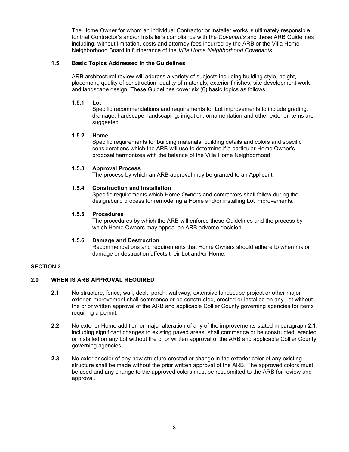The Home Owner for whom an individual Contractor or Installer works is ultimately responsible for that Contractor's and/or Installer's compliance with the *Covenants* and these ARB Guidelines including, without limitation, costs and attorney fees incurred by the ARB or the Villa Home Neighborhood Board in furtherance of the *Villa Home Neighborhood Covenants*.

# **1.5 Basic Topics Addressed In the Guidelines**

ARB architectural review will address a variety of subjects including building style, height, placement, quality of construction, quality of materials, exterior finishes, site development work and landscape design. These Guidelines cover six (6) basic topics as follows:

# **1.5.1 Lot**

Specific recommendations and requirements for Lot improvements to include grading, drainage, hardscape, landscaping, irrigation, ornamentation and other exterior items are suggested.

# **1.5.2 Home**

Specific requirements for building materials, building details and colors and specific considerations which the ARB will use to determine if a particular Home Owner's proposal harmonizes with the balance of the Villa Home Neighborhood

# **1.5.3 Approval Process**

The process by which an ARB approval may be granted to an Applicant.

# **1.5.4 Construction and Installation**

Specific requirements which Home Owners and contractors shall follow during the design/build process for remodeling a Home and/or installing Lot improvements.

# **1.5.5 Procedures**

The procedures by which the ARB will enforce these Guidelines and the process by which Home Owners may appeal an ARB adverse decision.

#### **1.5.6 Damage and Destruction**

Recommendations and requirements that Home Owners should adhere to when major damage or destruction affects their Lot and/or Home.

# **SECTION 2**

# **2.0 WHEN IS ARB APPROVAL REOUIRED**

- **2.1** No structure, fence, wall, deck, porch, walkway, extensive landscape project or other major exterior improvement shall commence or be constructed, erected or installed on any Lot without the prior written approval of the ARB and applicable Collier County governing agencies for items requiring a permit.
- **2.2** No exterior Home addition or major alteration of any of the improvements stated in paragraph **2.1**, including significant changes to existing paved areas, shall commence or be constructed, erected or installed on any Lot without the prior written approval of the ARB and applicable Collier County governing agencies..
- **2.3** No exterior color of any new structure erected or change in the exterior color of any existing structure shall be made without the prior written approval of the ARB. The approved colors must be used and any change to the approved colors must be resubmitted to the ARB for review and approval.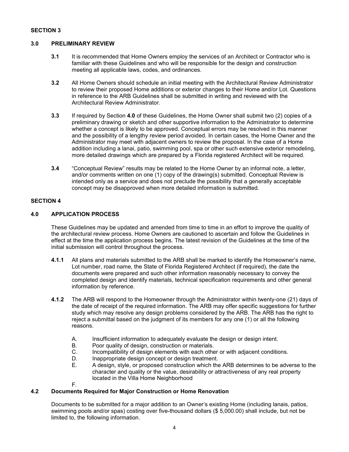# **SECTION 3**

# **3.0 PRELIMINARY REVIEW**

- **3.1** It is recommended that Home Owners employ the services of an Architect or Contractor who is familiar with these Guidelines and who will be responsible for the design and construction meeting all applicable laws, codes, and ordinances.
- **3.2** All Home Owners should schedule an initial meeting with the Architectural Review Administrator to review their proposed Home additions or exterior changes to their Home and/or Lot. Questions in reference to the ARB Guidelines shall be submitted in writing and reviewed with the Architectural Review Administrator.
- **3.3** If required by Section **4.0** of these Guidelines, the Home Owner shall submit two (2) copies of a preliminary drawing or sketch and other supportive information to the Administrator to determine whether a concept is likely to be approved. Conceptual errors may be resolved in this manner and the possibility of a lengthy review period avoided. In certain cases, the Home Owner and the Administrator may meet with adjacent owners to review the proposal. In the case of a Home addition including a lanai, patio, swimming pool, spa or other such extensive exterior remodeling, more detailed drawings which are prepared by a Florida registered Architect will be required.
- **3.4** "Conceptual Review" results may be related to the Home Owner by an informal note, a letter, and/or comments written on one (1) copy of the drawing(s) submitted. Conceptual Review is intended only as a service and does not preclude the possibility that a generally acceptable concept may be disapproved when more detailed information is submitted.

# **SECTION 4**

# **4.0 APPLICATION PROCESS**

These Guidelines may be updated and amended from time to time in an effort to improve the quality of the architectural review process. Home Owners are cautioned to ascertain and follow the Guidelines in effect at the time the application process begins. The latest revision of the Guidelines at the time of the initial submission will control throughout the process.

- **4.1.1** All plans and materials submitted to the ARB shall be marked to identify the Homeowner's name, Lot number, road name, the State of Florida Registered Architect (ifrequired), the date the documents were prepared and such other information reasonably necessary to convey the completed design and identify materials, technical specification requirements and other general information by reference.
- **4.1.2** The ARB will respond to the Homeowner through the Administrator within twenty-one (21) days of the date of receipt of the required information. The ARB may offer specific suggestions for further study which may resolve any design problems considered by the ARB. The ARB has the right to reject a submittal based on the judgment of its members for any one (1) or all the following reasons.
	- A. Insufficient information to adequately evaluate the design or design intent.<br>B. Poor quality of design. construction or materials.
	- B. Poor quality of design, construction or materials.<br>C. Incompatibility of design elements with each othe
	- C. Incompatibility of design elements with each other or with adjacent conditions.<br>D. Inappropriate design concept or design treatment.
	- D. Inappropriate design concept or design treatment.<br>E. A design, style, or proposed construction which the
	- E. A design, style, or proposed construction which the ARB determines to be adverse to the character and quality or the value, desirability or attractiveness of any real property located in the Villa Home Neighborhood
	- F.

# **4.2 Documents Required for Major Construction or Home Renovation**

Documents to be submitted for a major addition to an Owner's existing Home (including lanais, patios, swimming pools and/or spas) costing over five-thousand dollars (\$5,000.00) shall include, but not be limited to, the following information.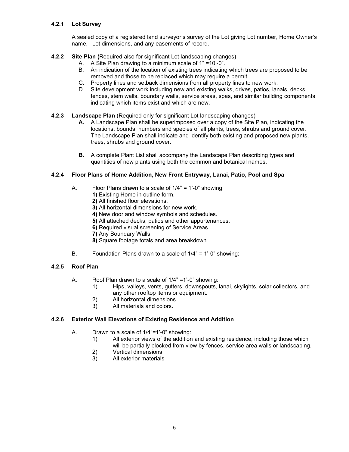# **4.2.1 Lot Survey**

A sealed copy of a registered land surveyor's survey of the Lot giving Lot number, Home Owner's name, Lot dimensions, and any easements of record.

# **4.2.2 Site Plan (**Required also for significant Lot landscaping changes)

- A. A Site Plan drawing to a minimum scale of 1" =10'-0".
- B. An indication of the location of existing trees indicating which trees are proposed to be removed and those to be replaced which may require a permit.
- C. Property lines and setback dimensions from all property lines to new work.
- D. Site development work including new and existing walks, drives, patios, lanais, decks, fences, stem walls, boundary walls, service areas, spas, and similar building components indicating which items exist and which are new.

# **4.2.3 Landscape Plan** (Required only for significant Lot landscaping changes)

- **A.** A Landscape Plan shall be superimposed over a copy of the Site Plan, indicating the locations, bounds, numbers and species of all plants, trees, shrubs and ground cover. The Landscape Plan shall indicate and identify both existing and proposed new plants, trees, shrubs and ground cover.
- **B.** A complete Plant List shall accompany the Landscape Plan describing types and quantities of new plants using both the common and botanical names.

# **4.2.4 Floor Plans of Home Addition, New Front Entryway, Lanai, Patio, Pool and Spa**

- A. Floor Plans drawn to a scale of 1/4" = 1'-0" showing:
	- **1)** Existing Home in outline form.
	- **2)** All finished floor elevations.
	- **3)** All horizontal dimensions for new work.
	- **4)** New door and window symbols and schedules.
	- **5)** All attached decks, patios and other appurtenances.
	- **6)** Required visual screening of Service Areas.
	- **7)** Any Boundary Walls
	- **8)** Square footage totals and area breakdown.
- B. Foundation Plans drawn to a scale of 1/4" = 1'-0" showing:

# **4.2.5 Roof Plan**

- A. Roof Plan drawn to a scale of 1/4" =1'-0" showing:
	- 1) Hips, valleys, vents, gutters, downspouts, lanai, skylights, solar collectors, and any other rooftop items or equipment.
	- 2) All horizontal dimensions
	- 3) All materials and colors.

# **4.2.6 Exterior Wall Elevations of Existing Residence and Addition**

- A. Drawn to a scale of 1/4"=1'-0" showing:
	- 1) All exterior views of the addition and existing residence, including those which will be partially blocked from view by fences, service area walls or landscaping.
	- 2) Vertical dimensions<br>3) All exterior materials
	- All exterior materials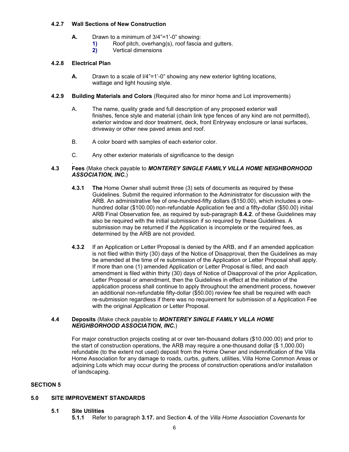#### **4.2.7 Wall Sections of New Construction**

- **A.** Drawn to a minimum of 3/4"=1'-0" showing:<br>**1)** Roof pitch, overhang(s), roof fascia
	- **1)** Roof pitch, overhang(s), roof fascia and gutters.<br>**2)** Vertical dimensions
	- **2)** Vertical dimensions

# **4.2.8 Electrical Plan**

- **A.** Drawn to a scale of l/4"=1'-0" showing any new exterior lighting locations, wattage and light housing style.
- **4.2.9 Building Materials and Colors** (Required also for minorhome and Lot improvements)
	- A. The name, quality grade and full description of any proposed exterior wall finishes, fence style and material (chain link type fences of any kind are not permitted), exterior window and door treatment, deck, front Entryway enclosure or lanai surfaces, driveway or other new paved areas and roof.B. <sup>A</sup> color board with samples of each exterior color.
	-
	- C. Any other exterior materials of significance to the design

#### . **4.3 Fees** (Make check payable to *MONTEREY SINGLE FAMILY VILLA HOME NEIGHBORHOOD ASSOCIATION, INC.*)

- **4.3.1 The** Home Owner shall submit three (3) sets of documents as required by these Guidelines. Submit the required information to the Administrator for discussion with the ARB. An administrative fee of one-hundred-fifty dollars (\$150.00), which includes a one hundred dollar (\$100.00) non-refundable Application fee and a fifty-dollar (\$50.00) initial ARB Final Observation fee, as required by sub-paragraph **8.4.2**. of these Guidelines may also be required with the initial submission if so required by these Guidelines. A submission may be returned if the Application is incomplete or the required fees, as determined by the ARB are not provided.
- **4.3.2** If an Application or Letter Proposal is denied by the ARB, and if an amended application is not filed within thirty (30) days of the Notice of Disapproval, then the Guidelines as may be amended at the time of re submission of the Application or Letter Proposal shall apply. If more than one (1) amended Application or Letter Proposal is filed, and each amendment is filed within thirty (30) days of Notice of Disapproval of the prior Application, Letter Proposal or amendment, then the Guidelines in effect at the initiation of the application process shall continue to apply throughout the amendment process, however an additional non-refundable fifty-dollar (\$50.00) review fee shall be required with each re-submission regardless if there was no requirement for submission of a Application Fee with the original Application or Letter Proposal.

# **4.4 Deposits** (Make check payable to *MONTEREY SINGLE FAMILY VILLA HOME NEIGHBORHOOD ASSOCIATION, INC.*)

For major construction projects costing at or over ten-thousand dollars (\$10.000.00) and prior to the start of construction operations, the ARB may require a one-thousand dollar (\$ 1,000.00) refundable (to the extent not used) deposit from the Home Owner and indemnification of the Villa Home Association for any damage to roads, curbs, gutters, utilities, Villa Home Common Areas or adjoining Lots which may occur during the process of construction operations and/or installation of landscaping.

# **SECTION 5**

#### **5.0 SITE IMPROVEMENT STANDARDS**

- **5.1 Site Utilities**
	- **5.1.1** Refer to paragraph **3.17.** and Section **4.** of the *Villa Home Association Covenants* for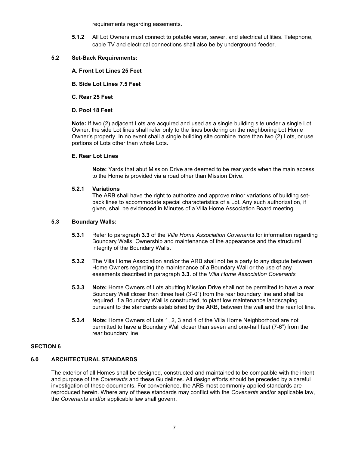requirements regarding easements.

**5.1.2** All Lot Owners must connect to potable water, sewer, and electrical utilities. Telephone, cable TV and electrical connections shall also be by underground feeder.

# **5.2 Set-Back Requirements:**

- **A. Front Lot Lines 25 Feet**
- **B. Side Lot Lines 7.5 Feet**
- **C. Rear 25 Feet**
- **D. Pool 18 Feet**

**Note:** If two (2) adjacent Lots are acquired and used as a single building site under a single Lot Owner, the side Lot lines shall refer only to the lines bordering on the neighboring Lot Home Owner's property. In no event shall a single building site combine more than two (2) Lots, or use portions of Lots other than whole Lots.

#### **E. Rear Lot Lines**

**Note:** Yards that abut Mission Drive are deemed to be rear yards when the main access to the Home is provided via a road other than Mission Drive.

#### **5.2.1 Variations**

The ARB shall have the right to authorize and approve minor variations of building set back lines to accommodate special characteristics of a Lot. Any such authorization, if given, shall be evidenced in Minutes of a Villa Home Association Board meeting.

# **5.3 Boundary Walls:**

- **5.3.1** Refer to paragraph **3.3** of the *Villa Home Association Covenants* for information regarding Boundary Walls, Ownership and maintenance of the appearance and the structural integrity of the Boundary Walls.
- **5.3.2** The Villa Home Association and/or the ARB shall not be a party to any dispute between Home Owners regarding the maintenance of a Boundary Wall or the use of any easements described in paragraph **3.3**. of the *Villa Home Association Covenants*
- **5.3.3 Note:** Home Owners of Lots abutting Mission Drive shall not be permitted to have a rear Boundary Wall closer than three feet (3'-0") from the rear boundary line and shall be required, if a Boundary Wall is constructed, to plant low maintenance landscaping pursuant to the standards established by the ARB, between the wall and the rear lot line.
- **5.3.4 Note:** Home Owners of Lots 1, 2, 3 and 4 of the Villa Home Neighborhood are not permitted to have a Boundary Wall closer than seven and one-half feet (7-6") from the rear boundary line.

# **SECTION 6**

# **6.0 ARCHITECTURAL STANDARDS**

The exterior of all Homes shall be designed, constructed and maintained to be compatible with the intent and purpose of the *Covenants* and these Guidelines. All design efforts should be preceded by a careful investigation of these documents. For convenience, the ARB most commonly applied standards are reproduced herein. Where any of these standards may conflict with the *Covenants* and/or applicable law, the *Covenants* and/or applicable law shall govern.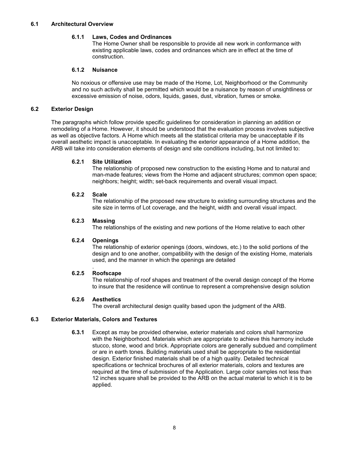# **6.1.1 Laws, Codes and Ordinances**

The Home Owner shall be responsible to provide all new work in conformance with existing applicable laws, codes and ordinances which are in effect at the time of construction.

# **6.1.2 Nuisance**

No noxious or offensive use may be made of the Home, Lot, Neighborhood or the Community and no such activity shall be permitted which would be a nuisance by reason of unsightliness or excessive emission of noise, odors, liquids, gases, dust, vibration, fumes or smoke.

# **6.2 Exterior Design**

The paragraphs which follow provide specific guidelines for consideration in planning an addition or remodeling of a Home. However, it should be understood that the evaluation process involves subjective as well as objective factors. A Home which meets all the statistical criteria may be unacceptable if its overall aesthetic impact is unacceptable. In evaluating the exterior appearance of a Home addition, the ARB will take into consideration elements of design and site conditions including, but not limited to:

# **6.2.1 Site Utilization**

The relationship of proposed new construction to the existing Home and to natural and man-made features; views from the Home and adjacent structures; common open space; neighbors; height; width; set-back requirements and overall visual impact.

# **6.2.2 Scale**

The relationship of the proposed new structure to existing surrounding structures and the site size in terms of Lot coverage, and the height, width and overall visual impact.

# **6.2.3 Massing**

The relationships of the existing and new portions of the Home relative to each other

#### **6.2.4 Openings**

The relationship of exterior openings (doors, windows, etc.) to the solid portions of the design and to one another, compatibility with the design of the existing Home, materials used, and the manner in which the openings are detailed

#### . **6.2.5 Roofscape**

The relationship of roof shapes and treatment of the overall design concept of the Home to insure that the residence will continue to represent a comprehensive design solution

# **6.2.6 Aesthetics**

The overall architectural design quality based upon the judgment of the ARB.

# **6.3 Exterior Materials, Colors and Textures**

**6.3.1** Except as may be provided otherwise, exterior materials and colors shall harmonize with the Neighborhood. Materials which are appropriate to achieve this harmony include stucco, stone, wood and brick. Appropriate colors are generally subdued and compliment or are in earth tones. Building materials used shall be appropriate to the residential design. Exterior finished materials shall be of a high quality. Detailed technical specifications or technical brochures of all exterior materials, colors and textures are required at the time of submission of the Application. Large color samples not less than 12 inches square shall be provided to the ARB on the actual material to which it is to be applied.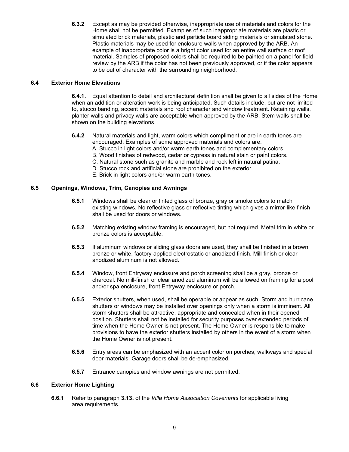**6.3.2** Except as may be provided otherwise, inappropriate use of materials and colors for the Home shall not be permitted. Examples of such inappropriate materials are plastic or simulated brick materials, plastic and particle board siding materials or simulated stone. Plastic materials may be used for enclosure walls when approved by the ARB. An example of inappropriate color is a bright color used for an entire wall surface or roof material. Samples of proposed colors shall be required to be painted on a panel for field review by the ARB if the color has not been previously approved, or if the color appears to be out of character with the surrounding neighborhood.

# **6.4 Exterior Home Elevations**

**6.4.1.** Equal attention to detail and architectural definition shall be given to all sides of the Home when an addition or alteration work is being anticipated. Such details include, but are not limited to, stucco banding, accent materials and roof character and window treatment. Retaining walls, planter walls and privacy walls are acceptable when approved by the ARB. Stem walls shall be shown on the building elevations.

- **6.4.2** Natural materials and light, warm colors which compliment or are in earth tones are encouraged. Examples of some approved materials and colors are:
	- A. Stucco in light colors and/or warm earth tones and complementary colors.
	- B. Wood finishes of redwood, cedar or cypress in natural stain or paint colors.
	- C. Natural stone such as granite and marble and rock left in natural patina.
	- D. Stucco rock and artificial stone are prohibited on the exterior.
	- E. Brick in light colors and/or warm earth tones.

# **6.5 Openings, Windows, Trim, Canopies and Awnings**

- **6.5.1** Windows shall be clear or tinted glass of bronze, gray or smoke colors to match existing windows. No reflective glass or reflective tinting which gives a mirror-like finish shall be used for doors or windows.
- **6.5.2** Matching existing window framing is encouraged, but not required. Metal trim in white or bronze colors is acceptable.
- **6.5.3** If aluminum windows or sliding glass doors are used, they shall be finished in a brown, bronze or white, factory-applied electrostatic or anodized finish. Mill-finish or clear anodized aluminum is not allowed.
- **6.5.4** Window, front Entryway enclosure and porch screening shall be a gray, bronze or charcoal. No mill-finish or clear anodized aluminum will be allowed on framing for a pool and/or spa enclosure, front Entryway enclosure or porch.
- **6.5.5** Exterior shutters, when used, shall be operable or appear as such. Storm and hurricane shutters or windows may be installed over openings only when a storm is imminent. All storm shutters shall be attractive, appropriate and concealed when in their opened position. Shutters shall not be installed for security purposes over extended periods of time when the Home Owner is not present. The Home Owner is responsible to make provisions to have the exterior shutters installed by others in the event of a storm when the Home Owner is not present.
- **6.5.6** Entry areas can be emphasized with an accent color on porches, walkways and special door materials. Garage doors shall be de-emphasized.
- **6.5.7** Entrance canopies and window awnings are not permitted.

#### **6.6 Exterior Home Lighting**

**6.6.1** Refer to paragraph **3.13.** of the *Villa Home Association Covenants* for applicable living area requirements.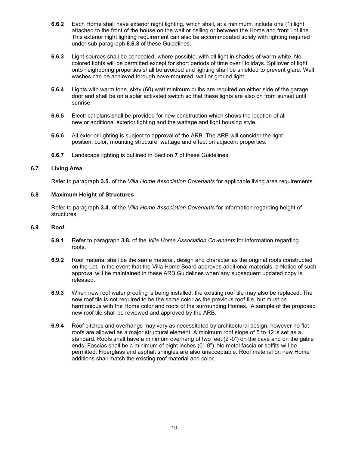- **6.6.2** Each Home shall have exterior night lighting, which shall, at a minimum, include one (1) light attached to the front of the house on the wall or ceiling or between the Home and front Lot line. This exterior night lighting requirement can also be accommodated solely with lighting required under sub-paragraph **6.6.3** of these Guidelines.
- **6.6.3** Light sources shall be concealed, where possible, with all light in shades of warm white. No colored lights will be permitted except for short periods of time over Holidays. Spillover of light onto neighboring properties shall be avoided and lighting shall be shielded to prevent glare. Wall washes can be achieved through eave-mounted, wall or ground light.
- **6.6.4** Lights with warm tone, sixty (60) watt minimum bulbs are required on either side of the garage door and shall be on a solar activated switch so that these lights are also on from sunset until sunrise.
- **6.6.5** Electrical plans shall be provided for new construction which shows the location of all new or additional exterior lighting and the wattage and light housing style.
- **6.6.6** All exterior lighting is subject to approval of the ARB. The ARB will consider the light position, color, mounting structure, wattage and effect on adjacent properties.
- **6.6.7** Landscape lighting is outlined in Section 7 of these Guidelines.

# **6.7 Living Area**

Refer to paragraph **3.5.** of the *Villa Home Association Covenants* for applicable living area requirements.

# **6.8 Maximum Height of Structures**

Refer to paragraph **3.4.** of the *Villa Home Association Covenants* for information regarding height of structures.

#### **6.9 Roof**

- **6.9.1** Refer to paragraph **3.8.** of the *Villa Home Association Covenants* for information regarding roofs.
- **6.9.2** Roof material shall be the same material, design and character as the original roofs constructed on the Lot. In the event that the Villa Home Board approves additional materials, a Notice of such approval will be maintained in these ARB Guidelines when any subsequent updated copy is released.
- **6.9.3** When new roof water proofing isbeing installed, the existing roof tile may also be replaced. The new roof tile is not required to be the same color as the previous roof tile, but must be harmonious with the Home color and roofs of the surrounding Homes. .A sample of the proposed new roof tile shall be reviewed and approved by the ARB.
- **6.9.4** Roof pitches and overhangs may vary as necessitated by architectural design, however no flat roofs are allowed as a major structural element. A minimum roof slope of 5 to 12 is set as a standard. Roofs shall have a minimum overhang of two feet (2'-0") on the cave and on the gable ends. Fascias shall be a minimum of eight inches (0'–8"). No metal fascia or soffits will be permitted. Fiberglass and asphalt shingles are also unacceptable. Roof material on new Home additions shall match the existing roof material and color.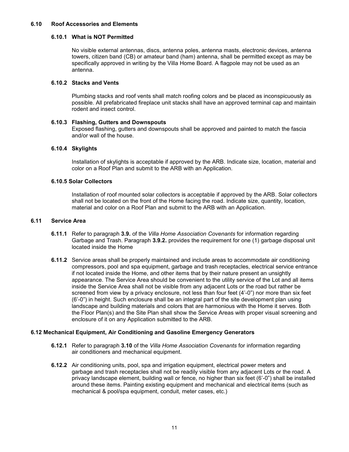# **6.10 Roof Accessories and Elements**

# **6.10.1 What is NOT Permitted**

No visible external antennas, discs, antenna poles, antenna masts, electronic devices, antenna towers, citizen band (CB) or amateur band (ham) antenna, shall be permitted except as may be specifically approved in writing by the Villa Home Board. A flagpole may not be used as an antenna.

#### **6.10.2 Stacks and Vents**

Plumbing stacks and roof vents shall match roofing colors and be placed as inconspicuously as possible. All prefabricated fireplace unit stacks shall have an approved terminal cap and maintain rodent and insect control.

#### **6.10.3 Flashing, Gutters and Downspouts**

Exposed flashing, gutters and downspouts shall be approved and painted to match the fascia and/or wall of the house.

# **6.10.4 Skylights**

Installation of skylights is acceptable if approved by the ARB. Indicate size, location, material and color on a Roof Plan and submit to the ARB with an Application.

#### **6.10.5 Solar Collectors**

Installation of roof mounted solar collectors is acceptable if approved by the ARB. Solar collectors shall not be located on the front of the Home facing the road. Indicate size, quantity, location, material and color on a Roof Plan and submit to the ARB with an Application.

# **6.11 Service Area**

- **6.11.1** Refer to paragraph **3.9.** of the *Villa Home Association Covenants* for information regarding Garbage and Trash. Paragraph **3.9.2.** provides the requirement for one (1) garbage disposal unit located inside the Home
- **6.11.2** Service areas shall be properly maintained and include areas to accommodate air conditioning compressors, pool and spa equipment, garbage and trash receptacles, electrical service entrance if not located inside the Home, and other items that by their nature present an unsightly appearance. The Service Area should be convenient to the utility service of the Lot and all items inside the Service Area shall not be visible from any adjacent Lots or the road but rather be screened from view by a privacy enclosure, not less than four feet (4'-0") nor more than six feet (6'-0") in height. Such enclosure shall be an integral part of the site development plan using landscape and building materials and colors that are harmonious with the Home it serves. Both the Floor Plan(s) and the Site Plan shall show the Service Areas with proper visual screening and enclosure of it on any Application submitted to the ARB.

#### **6.12 Mechanical Equipment, Air Conditioning and Gasoline Emergency Generators**

- **6.12.1** Refer to paragraph **3.10** of the *Villa Home Association Covenants* for information regarding air conditioners and mechanical equipment.
- **6.12.2** Air conditioning units, pool, spa and irrigation equipment, electrical power meters and garbage and trash receptacles shall not be readily visible from any adjacent Lots or the road. A privacy landscape element, building wall or fence, no higher than six feet (6'-0") shall be installed around these items. Painting existing equipment and mechanical and electrical items (such as mechanical & pool/spa equipment, conduit, meter cases, etc.)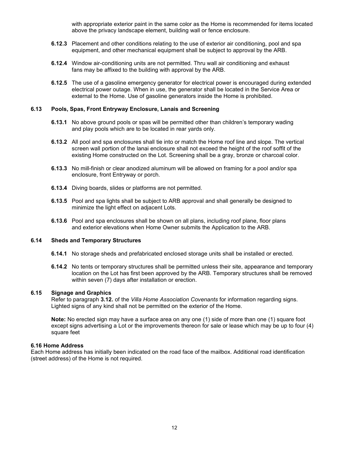with appropriate exterior paint in the same color as the Home is recommended for items located above the privacy landscape element, building wall or fence enclosure.

- **6.12.3** Placement and other conditions relating to the use of exterior air conditioning, pool and spa equipment, and other mechanical equipment shall be subject to approval by the ARB.
- **6.12.4** Window air-conditioning units are not permitted. Thru wall air conditioning and exhaust fans may be affixed to the building with approval by the ARB.
- **6.12.5** The use of a gasoline emergency generator for electrical power is encouraged during extended electrical power outage. When in use, the generator shall be located in the Service Area or external to the Home. Use of gasoline generators inside the Home is prohibited.

#### **6.13 Pools, Spas, Front Entryway Enclosure, Lanais and Screening**

- **6.13.1** No above ground pools or spas will be permitted other than children's temporary wading and play pools which are to be located in rear yards only.
- **6.13.2** All pool and spa enclosures shall tie into or match the Home roof line and slope. The vertical screen wall portion of the lanai enclosure shall not exceed the height of the roof soffit of the existing Home constructed on the Lot. Screening shall be a gray, bronze or charcoal color.
- **6.13.3** No mill-finish or clear anodized aluminum will be allowed on framing for a pool and/or spa enclosure, front Entryway or porch.
- **6.13.4** Diving boards, slides or platforms are not permitted.
- **6.13.5** Pool and spa lights shall be subject to ARB approval and shall generally be designed to minimize the light effect on adjacent Lots.
- **6.13.6** Pool and spa enclosures shall be shown on all plans, including roof plane, floor plans and exterior elevations when Home Owner submits the Application to the ARB.

#### **6.14 Sheds and Temporary Structures**

- **6.14.1** No storage sheds and prefabricated enclosed storage units shall be installed or erected.
- **6.14.2** No tents or temporary structures shall be permitted unless their site, appearance and temporary location on the Lot has first been approved by the ARB. Temporary structures shall be removed within seven (7) days after installation or erection.

# **6.15 Signage and Graphics**

Refer to paragraph **3.12.** of the *Villa Home Association Covenants* for information regarding signs. Lighted signs of any kind shall not be permitted on the exterior of the Home.

**Note:** No erected sign may have a surface area on any one (1) side of more than one (1) square foot except signs advertising a Lot or the improvements thereon for sale or lease which may be up to four (4) square feet

#### **6.16 Home Address**

Each Home address has initially been indicated on the road face of the mailbox. Additional road identification (street address) of the Home is not required.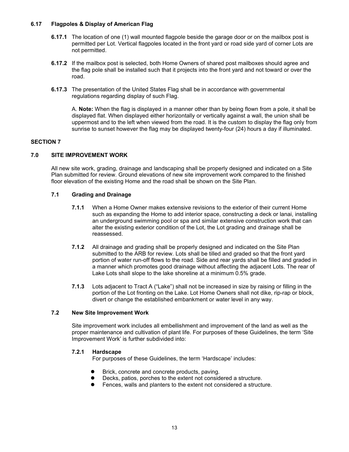# **6.17 Flagpoles & Display of American Flag**

- **6.17.1** The location of one (1) wall mounted flagpole beside the garage door or on the mailbox post is permitted per Lot. Vertical flagpoles located in the front yard or road side yard of corner Lots are not permitted.
- **6.17.2** If the mailbox post is selected, both Home Owners of shared post mailboxes should agree and the flag pole shall be installed such that it projects into the front yard and not toward or over the road.
- **6.17.3** The presentation of the United States Flag shall be in accordance with governmental regulations regarding display of such Flag.

A. **Note:** When the flag isdisplayed in a manner other than by being flown from a pole, it shall be displayed flat. When displayed either horizontally or vertically against a wall, the union shall be uppermost and to the left when viewed from the road. It is the custom to display the flag only from sunrise to sunset however the flag may be displayed twenty-four (24) hours a day if illuminated.

# **SECTION 7**

# **7.0 SITE IMPROVEMENT WORK**

All new site work, grading, drainage and landscaping shall be properly designed and indicated on a Site Plan submitted for review. Ground elevations of new site improvement work compared to the finished floor elevation of the existing Home and the road shall be shown on the Site Plan.

#### **7.1 Grading and Drainage**

- **7.1.1** When a Home Owner makes extensive revisions to the exterior of their current Home such as expanding the Home to add interior space, constructing a deck or lanai, installing an underground swimming pool or spa and similar extensive construction work that can alter the existing exterior condition of the Lot, the Lotgrading and drainage shall be reassessed.
- **7.1.2** All drainage and grading shall be properly designed and indicated on the Site Plan submitted to the ARB for review. Lots shall be tilled and graded so that the front yard portion of water run-off flows to the road. Side and rear yards shall be filled and graded in a manner which promotes good drainage without affecting the adjacent Lots. The rear of Lake Lots shall slope to the lake shoreline at a minimum 0.5% grade.
- **7.1.3** Lots adjacent to Tract A ("Lake") shall not be increased in size by raising or filling in the portion of the Lot fronting on the Lake. Lot Home Owners shall not dike, rip-rap or block, divert or change the established embankment or water level in any way.

#### **7.2 New Site Improvement Work**

Site improvement work includes allembellishment and improvement of the land as well as the proper maintenance and cultivation of plant life. For purposes of these Guidelines, the term 'Site Improvement Work' is further subdivided into:

#### **7.2.1 Hardscape**

For purposes of these Guidelines, the term 'Hardscape' includes:

- Brick, concrete and concrete products, paving.
- Decks, patios, porches to the extent not considered a structure.
- Fences, walls and planters to the extent not considered a structure.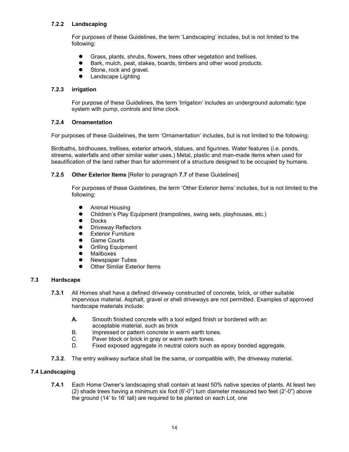# **7.2.2 Landscaping**

For purposes of these Guidelines, the term 'Landscaping' includes, but is not limited to the following:

- Grass, plants, shrubs, flowers, trees other vegetation and trellises.
- Bark, mulch, peat, stakes, boards, timbers and other wood products.
- Stone, rock and gravel.
- **•** Landscape Lighting

# **7.2.3 irrigation**

For purpose of these Guidelines, the term 'Irrigation' includes an underground automatic type system with pump, controls and time clock.

#### **7.2.4 Ornamentation**

For purposes of these Guidelines, the term 'Ornamentation' includes, but is not limited to the following:

Birdbaths, birdhouses, trellises, exterior artwork, statues, and figurines. Water features (i.e. ponds, streams, waterfalls and other similar water uses.) Metal, plastic and man-made items when used for beautification of the land rather than for adornment of a structure designed to be occupied by humans.

# **7.2.5 Other Exterior Items** [Refer to paragraph **7.7** of these Guidelines]

For purposes of these Guidelines, the term 'Other Exterior Items' includes, but is not limited to the following:

- Animal Housing
- Children's Play Equipment (trampolines, swing sets, playhouses, etc.)<br>● Docks
- Docks
- **•** Driveway Reflectors
- **Exterior Furniture**
- Game Courts
- **•** Grilling Equipment
- **•** Mailboxes<br>• Newspape
- Newspaper Tubes
- **•** Other Similar Exterior Items

# **7.3 Hardscape**

- **7.3.1** All Homes shall have a defined driveway constructed of concrete, brick, or other suitable impervious material. Asphalt, gravel or shell driveways are not permitted. Examples of approved hardscape materials include:
	- **A.** Smooth finished concrete with a tool edged finish or bordered with an acceptable material, such as brick
	- B. Impressed or pattern concrete in warm earth tones.<br>C. Paver block or brick in gray or warm earth tones.
	- C. Paver block or brick in gray or warm earth tones.<br>D. Fixed exposed agaregate in neutral colors such a
	- Fixed exposed aggregate in neutral colors such as epoxy bonded aggregate.
- **7.3.2**. The entry walkway surface shall be the same, orcompatible with, the driveway material.

#### **7.4 Landscaping**

**7.4.1** Each Home Owner's landscaping shall contain at least 50% native species of plants. At least two  $(2)$  shade trees having a minimum six foot  $(6'-0'')$  turn diameter measured two feet  $(2'-0'')$  above the ground (14' to 16' tall) are required to be planted on each Lot, one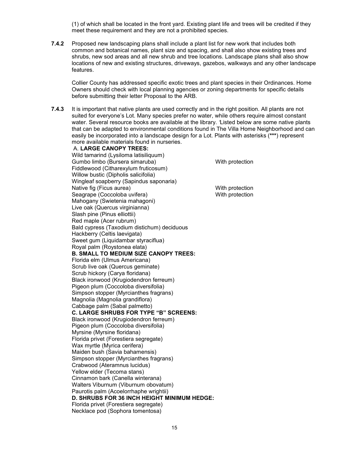(1) of which shall be located in the front yard. Existing plant life and trees will be credited if they meet these requirement and they are not a prohibited species.

**7.4.2** Proposed new landscaping plans shall include a plant list for new work that includes both common and botanical names, plant size and spacing, and shall also show existing trees and shrubs, new sod areas and all new shrub and tree locations. Landscape plans shall also show locations of new and existing structures, driveways, gazebos, walkways and any other landscape features.

Collier County has addressed specific exotic trees and plant species in their Ordinances. Home Owners should check with local planning agencies or zoning departments for specific details before submitting their letter Proposal to the ARB.

**7.4.3** It is important that native plants are used correctly and in the right position. All plants are not suited for everyone's Lot. Many species prefer no water, while others require almost constant water. Several resource books are available at the library. *'*Listed below are some native plants that can be adapted to environmental conditions found in The Villa Home Neighborhood and can easily be incorporated into a landscape design for a Lot. Plants with asterisks (**\*\*\***) represent more available materials found in nurseries.

A. **LARGE CANOPY TREES:** Wild tamarind (Lysiloma latisiliquum) Gumbo limbo (Bursera simaruba) With protection Fiddlewood (Citharexylum fruticosum) Willow bustic (Dipholis salicifolia) Wingleaf soapberry (Sapindus saponaria) Native fig (Ficus aurea) With protection Seagrape (Coccoloba uvifera) With protection Mahogany (Swietenia mahagoni) Live oak (Quercus virginianna) Slash pine (Pinus elliottii) Red maple (Acer rubrum) Bald cypress (Taxodium distichum) deciduous Hackberry (Celtis laevigata) Sweet gum (Liquidambar styraciflua) Royal palm (Roystonea elata) **B. SMALL TO MEDIUM SIZE CANOPY TREES:** Florida elm (Ulmus Americana) Scrub live oak (Quercus geminate) Scrub hickory (Carya floridana) Black ironwood (Krugiodendron ferreum) Pigeon plum (Coccoloba diversifolia) Simpson stopper (Myrcianthes fragrans) Magnolia (Magnolia grandiflora) Cabbage palm (Sabal palmetto) **C. LARGE SHRUBS FOR TYPE "B" SCREENS:** Black ironwood (Krugiodendron ferreum) Pigeon plum (Coccoloba diversifolia) Myrsine (Myrsine floridana) Florida privet (Forestiera segregate) Wax myrtle (Myrica cerifera) Maiden bush (Savia bahamensis) Simpson stopper (Myrcianthes fragrans) Crabwood (Ateramnus lucidus) Yellow elder (Tecoma stans) Cinnamon bark (Canella winterana) Walters Viburnum (Viburnum obovatum) Paurotis palm (Acoelorrhaphe wrightii) **D. SHRUBS FOR 36 INCH HEIGHT MINIMUM HEDGE:** Florida privet (Forestiera segregate) Necklace pod (Sophora tomentosa)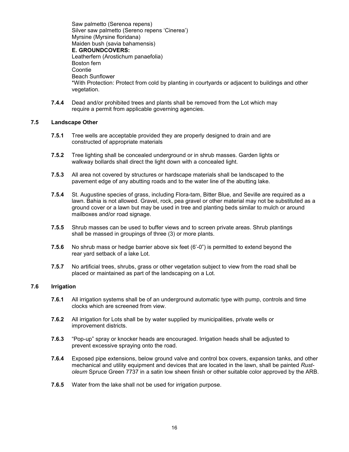Saw palmetto (Serenoa repens) Silver saw palmetto (Sereno repens 'Cinerea') Myrsine (Myrsine floridana) Maiden bush (savia bahamensis) **E. GROUNDCOVERS:** Leatherfern (Arostichum panaefolia) Boston fern Coontie Beach Sunflower \*With Protection: Protect from cold by planting in courtyards or adjacent to buildings and other vegetation.

**7.4.4** Dead and/or prohibited trees and plants shall be removed from the Lot which may require a permit from applicable governing agencies.

#### **7.5 Landscape Other**

- **7.5.1** Tree wells are acceptable provided they are properly designed to drain and are constructed of appropriate materials
- **7.5.2** Tree lighting shall be concealed underground or in shrub masses. Garden lights or walkway bollards shall direct the light down with a concealed light.
- **7.5.3** All area not covered by structures or hardscape materials shall be landscaped to the pavement edge of any abutting roads and to the water line of the abutting lake.
- **7.5.4** St. Augustine species of grass, including Flora-tam, Bitter Blue, and Seville are required as a lawn. Bahia is not allowed. Gravel, rock, pea gravel or other material may not be substituted as a ground cover or a lawn but may be used in tree and planting beds similarto mulch or around mailboxes and/or road signage.
- **7.5.5** Shrub masses can be used to buffer views and to screen private areas. Shrub plantings shall be massed in groupings of three (3) or more plants.
- **7.5.6** No shrub mass or hedge barrier above six feet (6'-0") is permitted to extend beyond the rear yard setback of a lake Lot.
- **7.5.7** No artificial trees, shrubs, grass or other vegetation subject to view from the road shall be placed or maintained as part of the landscaping on a Lot.

# **7.6 Irrigation**

- **7.6.1** All irrigation systems shall be of an underground automatic type with pump, controls and time clocks which are screened from view.
- **7.6.2** All irrigation for Lots shall be by water supplied by municipalities, private wells or improvement districts.
- **7.6.3** "Pop-up" spray or knocker heads are encouraged. Irrigation heads shall be adjusted to prevent excessive spraying onto the road.
- **7.6.4** Exposed pipe extensions, below ground valve and control box covers, expansion tanks, and other mechanical and utility equipment and devices that are located in the lawn, shall be painted *Rust oleum* Spruce Green 7737 in a satin low sheen finish or other suitable color approved by the ARB.
- **7.6.5** Water from the lake shall not be used for irrigation purpose.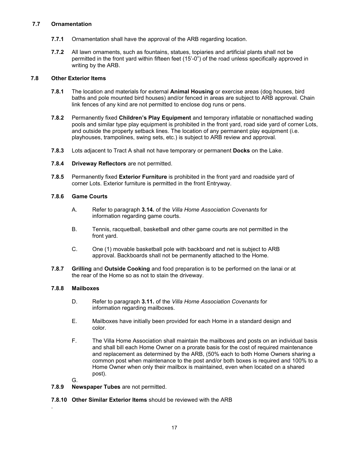# **7.7 Ornamentation**

- **7.7.1** Ornamentation shall have the approval of the ARB regarding location.
- **7.7.2** All lawn ornaments, such as fountains, statues, topiaries and artificial plants shall not be permitted in the front yard within fifteen feet (15'-0") of the road unless specifically approved in writing by the ARB.

# **7.8 Other Exterior Items**

- **7.8.1** The location and materials for external**Animal Housing** or exercise areas (dog houses, bird baths and pole mounted bird houses) and/or fenced in areas are subject to ARB approval. Chain link fences of any kind are not permitted to enclose dog runs or pens.
- **7.8.2** Permanently fixed **Children's Play Equipment** and temporary inflatable or nonattached wading pools and similar type play equipment is prohibited in the front yard, road side yard of cornerLots, and outside the property setback lines. The location of any permanent play equipment (i.e. playhouses, trampolines, swing sets, etc.) is subject to ARB review and approval.
- **7.8.3** Lots adjacent to Tract A shall not have temporary or permanent **Docks** on the Lake.
- **7.8.4 Driveway Reflectors** are not permitted.
- **7.8.5** Permanently fixed **Exterior Furniture** is prohibited in the front yard and roadside yard of corner Lots. Exterior furniture is permitted in the front Entryway.

# **7.8.6 Game Courts**

- A. Refer to paragraph **3.14.** of the *Villa Home Association Covenants* for information regarding game courts.
- B. Tennis, racquetball, basketball and other game courts are not permitted in the front yard.
- C. One (1) movable basketball pole with backboard and net is subject to ARB approval. Backboards shall not be permanently attached to the Home.
- **7.8.7 Grilling** and **Outside Cooking** and food preparation isto be performed on the lanai or at the rear of the Home so as not to stain the driveway.

#### **7.8.8 Mailboxes**

- D. Refer to paragraph **3.11.** of the *Villa Home Association Covenants* for information regarding mailboxes.
- E. Mailboxes have initially been provided for each Home in a standard design and color.
- F. The Villa Home Association shall maintain the mailboxes and posts on an individual basis and shall bill each Home Owner on a prorate basis for the cost of required maintenance and replacement as determined by the ARB, (50% each to both Home Owners sharing a common post when maintenance to the post and/or both boxes is required and 100% to a Home Owner when only their mailbox is maintained, even when located on a shared post).

G.

.

- **7.8.9 Newspaper Tubes** are not permitted.
- **7.8.10 Other Similar Exterior Items** should be reviewed with the ARB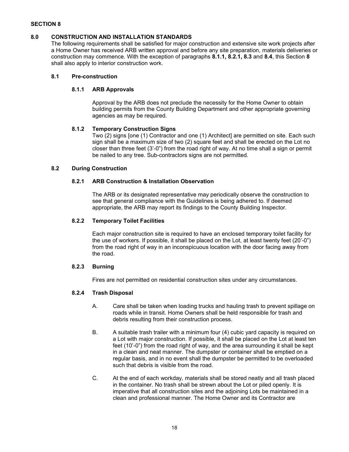# **SECTION 8**

#### **8.0 CONSTRUCTION AND INSTALLATION STANDARDS**

The following requirements shall be satisfied for major construction and extensive site work projects after a Home Owner has received ARB written approval and before any site preparation, materials deliveries or construction may commence. With the exception of paragraphs **8.1.1, 8.2.1, 8.3** and **8.4**, this Section **8** shall also apply to interior construction work.

# **8.1 Pre-construction**

# **8.1.1 ARB Approvals**

Approval by the ARB does not preclude the necessity for the Home Owner to obtain building permits from the County Building Department and other appropriate governing agencies as may be required.

# **8.1.2 Temporary Construction Signs**

Two (2) signs [one (1) Contractor and one (1) Architect] are permitted on site. Each such sign shall be a maximum size of two (2) square feet and shall be erected on the Lot no closer than three feet (3'-0") from the road right of way. At no time shall a sign or permit be nailed to any tree. Sub-contractors signs are not permitted.

# **8.2 During Construction**

# **8.2.1 ARB Construction & Installation Observation**

The ARB or its designated representative may periodically observe the construction to see that general compliance with the Guidelines is being adhered to. If deemed appropriate, the ARB may report its findings to the County Building Inspector.

# **8.2.2 Temporary Toilet Facilities**

Each major construction site is required to have an enclosed temporary toilet facility for the use of workers. If possible, it shall be placed on the Lot, at least twenty feet (20'-0") from the road right of way in an inconspicuous location with the door facing away from the road.

#### **8.2.3 Burning**

Fires are not permitted on residential construction sites under any circumstances.

# **8.2.4 Trash Disposal**

- A. Care shall be taken when loading trucks and hauling trash to prevent spillage on roads while in transit. Home Owners shall be held responsible for trash and debris resulting from their construction process.
- B. A suitable trash trailer with a minimum four (4) cubic yard capacity is required on a Lot with major construction. If possible, it shall be placed on the Lot at least ten feet (10'-0") from the road right of way, and the area surrounding it shall be kept in a clean and neat manner. The dumpster or container shall be emptied on a regular basis, and in no event shall the dumpster be permitted to be overloaded such that debris is visible from the road.
- C. At the end of each workday, materials shall be stored neatly and all trash placed in the container. No trash shall be strewn about the Lot or piled openly. It is imperative that all construction sites and the adjoining Lots be maintained in a clean and professional manner. The Home Owner and its Contractor are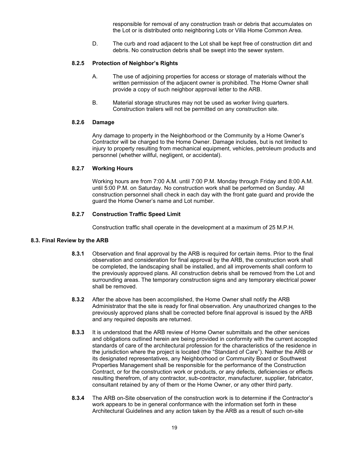responsible for removal of any construction trash or debris that accumulates on the Lot or is distributed onto neighboring Lots or Villa Home Common Area.

D. The curb and road adjacent to the Lot shall be kept free of construction dirt and debris. No construction debris shall be swept into the sewer system.

# **8.2.5 Protection of Neighbor's Rights**

- A. The use of adjoining properties for access or storage of materials without the written permission of the adjacent owner is prohibited. The Home Owner shall provide a copy of such neighbor approval letter to the ARB.
- B. Material storage structures may not be used as worker living quarters. Construction trailers will not be permitted on any construction site.

## **8.2.6 Damage**

Any damage to property in the Neighborhood or the Community by a Home Owner's Contractor will be charged to the Home Owner. Damage includes, but is not limited to injury to property resulting from mechanical equipment, vehicles, petroleum products and personnel (whether willful, negligent, or accidental).

#### **8.2.7 Working Hours**

Working hours are from 7:00 A.M. until 7:00 P.M. Monday through Friday and 8:00 A.M. until 5:00 P.M. on Saturday. No construction work shall be performed on Sunday. All construction personnel shall check in each day with the front gate guard and provide the guard the Home Owner's name and Lot number.

#### **8.2.7 Construction Traffic Speed Limit**

Construction traffic shall operate in the development at a maximum of 25 M.P.H.

#### **8.3. Final Review by the ARB**

- **8.3.1** Observation and final approval by the ARB is required for certain items. Prior to the final observation and consideration for final approval by the ARB, the construction work shall be completed, the landscaping shall be installed, and all improvements shall conform to the previously approved plans. All construction debris shall be removed from the Lot and surrounding areas. The temporary construction signs and any temporary electrical power shall be removed.
- **8.3.2** After the above has been accomplished, the Home Owner shall notify the ARB Administrator that the site is ready for final observation. Any unauthorized changes to the previously approved plans shall be corrected before final approval is issued by the ARB and any required deposits are returned.
- **8.3.3** It is understood that the ARB review of Home Owner submittals and the other services and obligations outlined herein are being provided in conformity with the current accepted standards of care of the architectural profession for the characteristics of the residence in the jurisdiction where the project is located (the "Standard of Care"). Neither the ARB or its designated representatives, any Neighborhood or Community Board or Southwest Properties Management shall be responsible for the performance of the Construction Contract, or for the construction work or products, or any defects, deficiencies or effects resulting therefrom, of any contractor, sub-contractor, manufacturer, supplier, fabricator, consultant retained by any of them or the Home Owner, or any other third party.
- **8.3.4** The ARB on-Site observation of the construction work is to determine if the Contractor's work appears to be in general conformance with the information set forth in these Architectural Guidelines and any action taken by the ARB as a result of such on-site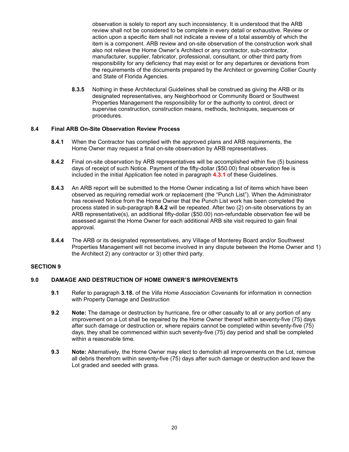observation is solely to report any such inconsistency. It is understood that the ARB review shall not be considered to be complete in every detail or exhaustive. Review or action upon a specific item shall not indicate a review of a total assembly of which the item is a component. ARB review and on-site observation of the construction work shall also not relieve the Home Owner's Architect or any contractor, sub-contractor, manufacturer, supplier, fabricator, professional, consultant, or other third party from responsibility for any deficiency that may exist or for any departures or deviations from the requirements of the documents prepared by the Architect or governing Collier County and State of Florida Agencies.

**8.3.5** Nothing in these Architectural Guidelines shall be construed as giving the ARB or its designated representatives, any Neighborhood or Community Board or Southwest Properties Management the responsibility for or the authority to control, direct or supervise construction, construction means, methods, techniques, sequences or procedures.

# **8.4 Final ARB On-Site Observation Review Process**

- **8.4.1** When the Contractor has complied with the approved plans and ARB requirements, the Home Owner may request a final on-site observation by ARB representatives.
- **8.4.2** Final on-site observation by ARB representatives will be accomplished within five (5) business days of receipt of such Notice. Payment of the fifty-dollar (\$50.00) final observation fee is included in the initial Application fee noted in paragraph **4.3.1** of these Guidelines.
- **8.4.3** An ARB reportwill be submitted to the Home Owner indicating a list of items which have been observed as requiring remedial work or replacement (the "Punch List"). When the Administrator has received Notice from the Home Owner that the Punch List work has been completed the process stated in sub-paragraph **8.4.2** will be repeated. After two (2) on-site observations by an ARB representative(s), an additional fifty-dollar (\$50.00) non-refundable observation fee will be assessed against the Home Owner for each additional ARB site visit required to gain final approval.
- **8.4.4** The ARB or its designated representatives, any Village of Monterey Board and/or Southwest Properties Management will not become involved in any dispute between the Home Owner and 1) the Architect 2) any contractor or 3) other third party.

#### **SECTION 9**

# **9.0 DAMAGE AND DESTRUCTION OF HOME OWNER'S IMPROVEMENTS**

- **9.1** Refer to paragraph **3.18.** of the *Villa Home Association Covenant*s for information in connection with Property Damage and Destruction
- **9.2 Note:** The damage or destruction by hurricane, fire or other casualty to all or any portion of any improvement on a Lot shall be repaired by the Home Owner thereof within seventy-five (75) days after such damage or destruction or, where repairs cannot be completed within seventy-five (75) days, they shall be commenced within such seventy-five (75) day period and shall be completed within a reasonable time.
- **9.3 Note:** Alternatively, the Home Owner may elect to demolish all improvements on the Lot, remove all debris therefrom within seventy-five (75) days after such damage or destruction and leave the Lot graded and seeded with grass.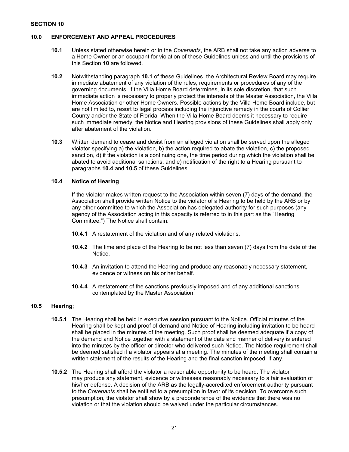#### **SECTION 10**

#### **10.0 ENFORCEMENT AND APPEAL PROCEDURES**

- **10.1** Unless stated otherwise herein or in the *Covenants*, the ARB shall not take any action adverse to a Home Owner or an occupant for violation of these Guidelines unless and until the provisions of this Section **10** are followed.
- **10.2** Notwithstanding paragraph 10.1 of these Guidelines, the Architectural Review Board may require immediate abatement of any violation of the rules, requirements or procedures of any of the governing documents, if the Villa Home Board determines, in its sole discretion, that such immediate action is necessary to properly protect the interests of the Master Association, the Villa Home Association or other Home Owners. Possible actions by the Villa Home Board include, but are not limited to, resort to legal process including the injunctive remedy in the courts of Collier County and/or the State of Florida. When the Villa Home Board deems it necessary to require such immediate remedy, the Notice and Hearing provisions of these Guidelines shall apply only after abatement of the violation.
- **10.3** Written demand to cease and desist from an alleged violation shall be served upon the alleged violator specifying a) the violation, b) the action required to abate the violation, c) the proposed sanction, d) if the violation is a continuing one, the time period during which the violation shall be abated to avoid additional sanctions, and e) notification of the right to a Hearing pursuant to paragraphs **10.4** and **10.5** of these Guidelines.

#### **10.4 Notice of Hearing**

If the violator makes written request to the Association within seven (7) days of the demand, the Association shall provide written Notice to the violator of a Hearing to be held by the ARB or by any other committee to which the Association has delegated authority for such purposes (any agency of the Association acting in this capacity is referred to in this part as the "Hearing Committee.") The Notice shall contain:

- **10.4.1** A restatement of the violation and of any related violations.
- **10.4.2** The time and place of the Hearing to be not less than seven (7) days from the date of the Notice.
- **10.4.3** An invitation to attend the Hearing and produce any reasonably necessary statement, evidence or witness on his or her behalf.
- **10.4.4** A restatement of the sanctions previously imposed and of any additional sanctions contemplated by the Master Association.

# **10.5 Hearing**;

- **10.5.1** The Hearing shall be held in executive session pursuant to the Notice. Official minutes of the Hearing shall be kept and proof of demand and Notice of Hearing including invitation to be heard shall be placed in the minutes of the meeting. Such proof shall be deemed adequate if a copy of the demand and Notice together with a statement of the date and manner of delivery is entered into the minutes by the officer or director who delivered such Notice. The Notice requirement shall be deemed satisfied if a violator appears at a meeting. The minutes of the meeting shall contain a written statement of the results of the Hearing and the final sanction imposed, if any.
- **10.5.2** The Hearing shall afford the violator a reasonable opportunity to be heard. The violator may produce any statement, evidence or witnesses reasonably necessary to a fair evaluation of his/her defense. A decision of the ARB as the legally-accredited enforcement authority pursuant to the *Covenants* shall be entitled to a presumption in favor of its decision. To overcome such presumption, the violator shall show by a preponderance of the evidence that there was no violation or that the violation should be waived under the particular circumstances.